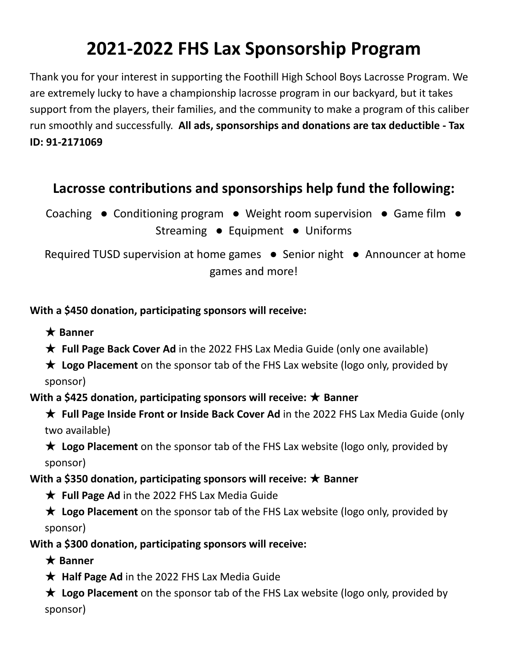# **2021-2022 FHS Lax Sponsorship Program**

Thank you for your interest in supporting the Foothill High School Boys Lacrosse Program. We are extremely lucky to have a championship lacrosse program in our backyard, but it takes support from the players, their families, and the community to make a program of this caliber run smoothly and successfully. **All ads, sponsorships and donations are tax deductible - Tax ID: 91-2171069**

## **Lacrosse contributions and sponsorships help fund the following:**

Coaching • Conditioning program • Weight room supervision • Game film • Streaming ● Equipment ● Uniforms

Required TUSD supervision at home games ● Senior night ● Announcer at home games and more!

### **With a \$450 donation, participating sponsors will receive:**

★ **Banner**

★ **Full Page Back Cover Ad** in the 2022 FHS Lax Media Guide (only one available)

★ **Logo Placement** on the sponsor tab of the FHS Lax website (logo only, provided by sponsor)

**With a \$425 donation, participating sponsors will receive:** ★ **Banner**

★ **Full Page Inside Front or Inside Back Cover Ad** in the 2022 FHS Lax Media Guide (only two available)

★ **Logo Placement** on the sponsor tab of the FHS Lax website (logo only, provided by sponsor)

### **With a \$350 donation, participating sponsors will receive:** ★ **Banner**

★ **Full Page Ad** in the 2022 FHS Lax Media Guide

★ **Logo Placement** on the sponsor tab of the FHS Lax website (logo only, provided by sponsor)

**With a \$300 donation, participating sponsors will receive:**

- ★ **Banner**
- ★ **Half Page Ad** in the 2022 FHS Lax Media Guide

★ **Logo Placement** on the sponsor tab of the FHS Lax website (logo only, provided by sponsor)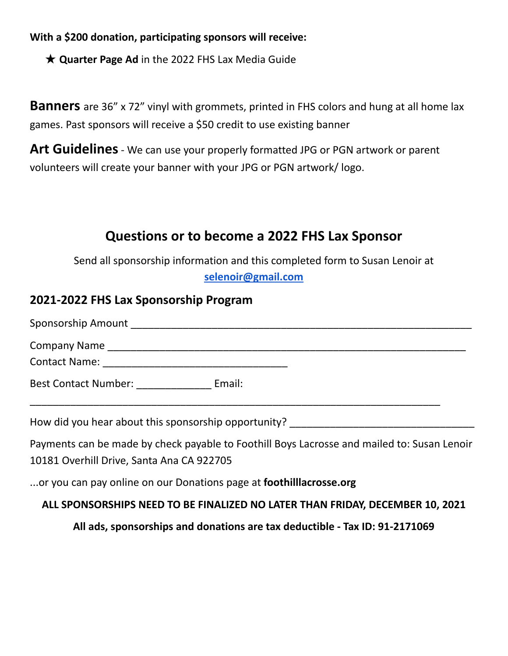**With a \$200 donation, participating sponsors will receive:**

★ **Quarter Page Ad** in the 2022 FHS Lax Media Guide

**Banners** are 36" x 72" vinyl with grommets, printed in FHS colors and hung at all home lax games. Past sponsors will receive a \$50 credit to use existing banner

**Art Guidelines**- We can use your properly formatted JPG or PGN artwork or parent volunteers will create your banner with your JPG or PGN artwork/ logo.

### **Questions or to become a 2022 FHS Lax Sponsor**

Send all sponsorship information and this completed form to Susan Lenoir at **[selenoir@gmail.com](mailto:selenoir@gmail.com)**

### **2021-2022 FHS Lax Sponsorship Program**

| <b>Best Contact Number:</b> | Email: |  |  |
|-----------------------------|--------|--|--|
|                             |        |  |  |

Payments can be made by check payable to Foothill Boys Lacrosse and mailed to: Susan Lenoir 10181 Overhill Drive, Santa Ana CA 922705

...or you can pay online on our Donations page at **foothilllacrosse.org**

#### **ALL SPONSORSHIPS NEED TO BE FINALIZED NO LATER THAN FRIDAY, DECEMBER 10, 2021**

**All ads, sponsorships and donations are tax deductible - Tax ID: 91-2171069**